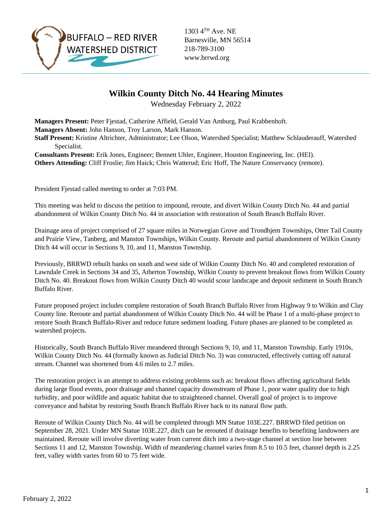

1303 4TH Ave. NE Barnesville, MN 56514 218-789-3100 www.brrwd.org

## **Wilkin County Ditch No. 44 Hearing Minutes**

Wednesday February 2, 2022

**Managers Present:** Peter Fjestad, Catherine Affield, Gerald Van Amburg, Paul Krabbenhoft. **Managers Absent:** John Hanson, Troy Larson, Mark Hanson.

**Staff Present:** Kristine Altrichter, Administrator; Lee Olson, Watershed Specialist; Matthew Schlauderauff, Watershed Specialist.

**Consultants Present:** Erik Jones, Engineer; Bennett Uhler, Engineer, Houston Engineering, Inc. (HEI). **Others Attending:** Cliff Froslie; Jim Haick; Chris Watterud; Eric Hoff, The Nature Conservancy (remote).

President Fjestad called meeting to order at 7:03 PM.

This meeting was held to discuss the petition to impound, reroute, and divert Wilkin County Ditch No. 44 and partial abandonment of Wilkin County Ditch No. 44 in association with restoration of South Branch Buffalo River.

Drainage area of project comprised of 27 square miles in Norwegian Grove and Trondhjem Townships, Otter Tail County and Prairie View, Tanberg, and Manston Townships, Wilkin County. Reroute and partial abandonment of Wilkin County Ditch 44 will occur in Sections 9, 10, and 11, Manston Township.

Previously, BRRWD rebuilt banks on south and west side of Wilkin County Ditch No. 40 and completed restoration of Lawndale Creek in Sections 34 and 35, Atherton Township, Wilkin County to prevent breakout flows from Wilkin County Ditch No. 40. Breakout flows from Wilkin County Ditch 40 would scour landscape and deposit sediment in South Branch Buffalo River.

Future proposed project includes complete restoration of South Branch Buffalo River from Highway 9 to Wilkin and Clay County line. Reroute and partial abandonment of Wilkin County Ditch No. 44 will be Phase 1 of a multi-phase project to restore South Branch Buffalo-River and reduce future sediment loading. Future phases are planned to be completed as watershed projects.

Historically, South Branch Buffalo River meandered through Sections 9, 10, and 11, Manston Township. Early 1910s, Wilkin County Ditch No. 44 (formally known as Judicial Ditch No. 3) was constructed, effectively cutting off natural stream. Channel was shortened from 4.6 miles to 2.7 miles.

The restoration project is an attempt to address existing problems such as: breakout flows affecting agricultural fields during large flood events, poor drainage and channel capacity downstream of Phase 1, poor water quality due to high turbidity, and poor wildlife and aquatic habitat due to straightened channel. Overall goal of project is to improve conveyance and habitat by restoring South Branch Buffalo River back to its natural flow path.

Reroute of Wilkin County Ditch No. 44 will be completed through MN Statue 103E.227. BRRWD filed petition on September 28, 2021. Under MN Statue 103E.227, ditch can be rerouted if drainage benefits to benefiting landowners are maintained. Reroute will involve diverting water from current ditch into a two-stage channel at section line between Sections 11 and 12, Manston Township. Width of meandering channel varies from 8.5 to 10.5 feet, channel depth is 2.25 feet, valley width varies from 60 to 75 feet wide.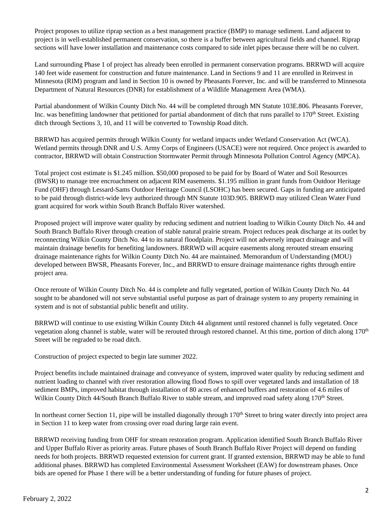Project proposes to utilize riprap section as a best management practice (BMP) to manage sediment. Land adjacent to project is in well-established permanent conservation, so there is a buffer between agricultural fields and channel. Riprap sections will have lower installation and maintenance costs compared to side inlet pipes because there will be no culvert.

Land surrounding Phase 1 of project has already been enrolled in permanent conservation programs. BRRWD will acquire 140 feet wide easement for construction and future maintenance. Land in Sections 9 and 11 are enrolled in Reinvest in Minnesota (RIM) program and land in Section 10 is owned by Pheasants Forever, Inc. and will be transferred to Minnesota Department of Natural Resources (DNR) for establishment of a Wildlife Management Area (WMA).

Partial abandonment of Wilkin County Ditch No. 44 will be completed through MN Statute 103E.806. Pheasants Forever, Inc. was benefitting landowner that petitioned for partial abandonment of ditch that runs parallel to  $170<sup>th</sup>$  Street. Existing ditch through Sections 3, 10, and 11 will be converted to Township Road ditch.

BRRWD has acquired permits through Wilkin County for wetland impacts under Wetland Conservation Act (WCA). Wetland permits through DNR and U.S. Army Corps of Engineers (USACE) were not required. Once project is awarded to contractor, BRRWD will obtain Construction Stormwater Permit through Minnesota Pollution Control Agency (MPCA).

Total project cost estimate is \$1.245 million. \$50,000 proposed to be paid for by Board of Water and Soil Resources (BWSR) to manage tree encroachment on adjacent RIM easements. \$1.195 million in grant funds from Outdoor Heritage Fund (OHF) through Lessard-Sams Outdoor Heritage Council (LSOHC) has been secured. Gaps in funding are anticipated to be paid through district-wide levy authorized through MN Statute 103D.905. BRRWD may utilized Clean Water Fund grant acquired for work within South Branch Buffalo River watershed.

Proposed project will improve water quality by reducing sediment and nutrient loading to Wilkin County Ditch No. 44 and South Branch Buffalo River through creation of stable natural prairie stream. Project reduces peak discharge at its outlet by reconnecting Wilkin County Ditch No. 44 to its natural floodplain. Project will not adversely impact drainage and will maintain drainage benefits for benefiting landowners. BRRWD will acquire easements along rerouted stream ensuring drainage maintenance rights for Wilkin County Ditch No. 44 are maintained. Memorandum of Understanding (MOU) developed between BWSR, Pheasants Forever, Inc., and BRRWD to ensure drainage maintenance rights through entire project area.

Once reroute of Wilkin County Ditch No. 44 is complete and fully vegetated, portion of Wilkin County Ditch No. 44 sought to be abandoned will not serve substantial useful purpose as part of drainage system to any property remaining in system and is not of substantial public benefit and utility.

BRRWD will continue to use existing Wilkin County Ditch 44 alignment until restored channel is fully vegetated. Once vegetation along channel is stable, water will be rerouted through restored channel. At this time, portion of ditch along 170th Street will be regraded to be road ditch.

Construction of project expected to begin late summer 2022.

Project benefits include maintained drainage and conveyance of system, improved water quality by reducing sediment and nutrient loading to channel with river restoration allowing flood flows to spill over vegetated lands and installation of 18 sediment BMPs, improved habitat through installation of 80 acres of enhanced buffers and restoration of 4.6 miles of Wilkin County Ditch 44/South Branch Buffalo River to stable stream, and improved road safety along 170<sup>th</sup> Street.

In northeast corner Section 11, pipe will be installed diagonally through  $170<sup>th</sup>$  Street to bring water directly into project area in Section 11 to keep water from crossing over road during large rain event.

BRRWD receiving funding from OHF for stream restoration program. Application identified South Branch Buffalo River and Upper Buffalo River as priority areas. Future phases of South Branch Buffalo River Project will depend on funding needs for both projects. BRRWD requested extension for current grant. If granted extension, BRRWD may be able to fund additional phases. BRRWD has completed Environmental Assessment Worksheet (EAW) for downstream phases. Once bids are opened for Phase 1 there will be a better understanding of funding for future phases of project.